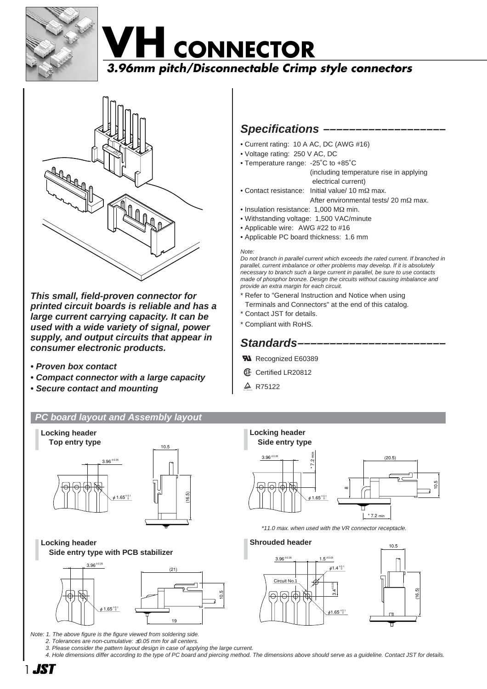





**This small, field-proven connector for printed circuit boards is reliable and has a large current carrying capacity. It can be used with a wide variety of signal, power supply, and output circuits that appear in consumer electronic products.**

- **Proven box contact**
- **Compact connector with a large capacity**
- **Secure contact and mounting**

# **PC board layout and Assembly layout**



**Locking header Side entry type with PCB stabilizer**



Note: 1. The above figure is the figure viewed from soldering side.

2. Tolerances are non-cumulative: ±0.05 mm for all centers.

3. Please consider the pattern layout design in case of applying the large current.

4. Hole dimensions differ according to the type of PC board and piercing method. The dimensions above should serve as a guideline. Contact JST for details.

# Specifications –

- Current rating: 10 A AC, DC (AWG #16)
- Voltage rating: 250 V AC, DC
- Temperature range: -25˚C to +85˚C

(including temperature rise in applying electrical current)

- Contact resistance: Initial value/ 10 mΩ max. After environmental tests/ 20 mΩ max.
- Insulation resistance: 1,000 MΩ min.
- Withstanding voltage: 1,500 VAC/minute
- Applicable wire: AWG #22 to #16
- Applicable PC board thickness: 1.6 mm

#### Note:

Do not branch in parallel current which exceeds the rated current. If branched in parallel, current imbalance or other problems may develop. If it is absolutely necessary to branch such a large current in parallel, be sure to use contacts made of phosphor bronze. Design the circuits without causing imbalance and provide an extra margin for each circuit.

- Refer to "General Instruction and Notice when using
- Terminals and Connectors" at the end of this catalog.
- \* Contact JST for details.
- \* Compliant with RoHS.

# Standards-

- **R** Recognized E60389
- *S* Certified LR20812
- $\triangle$  R75122



\*11.0 max. when used with the VR connector receptacle.

#### **Shrouded header**



(16.5)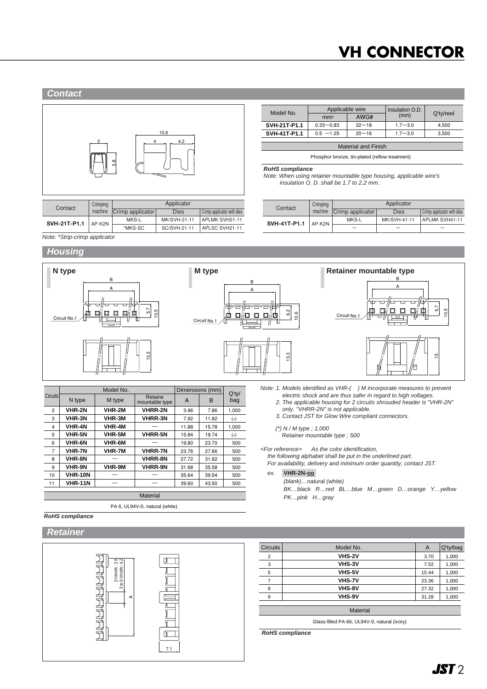# **VH CONNECTOR**

### **Contact**



| Contact      | Crimping | Applicator       |              |                            |  |  |
|--------------|----------|------------------|--------------|----------------------------|--|--|
|              | machine  | Crimp applicator | <b>Dies</b>  | Crimp applicator with dies |  |  |
| SVH-21T-P1.1 | AP-K2N   | MKS-L            | MK/SVH-21-11 | APLMK SVH21-11             |  |  |
|              |          | *MKS-SC          | SC/SVH-21-11 | APLSC SVH21-11             |  |  |

| Model No.                  | Applicable wire              |              | Insulation O.D. |           |  |  |  |
|----------------------------|------------------------------|--------------|-----------------|-----------|--|--|--|
|                            | mm <sup>2</sup>              | (mm)<br>AWG# |                 | Q'ty/reel |  |  |  |
| SVH-21T-P1.1               | $22 - 18$<br>$0.33 - 0.83$   |              | $1.7 - 3.0$     | 4.500     |  |  |  |
| SVH-41T-P1.1               | $0.5 \sim 1.25$<br>$20 - 16$ |              | $1.7 - 3.0$     | 3.500     |  |  |  |
|                            |                              |              |                 |           |  |  |  |
| <b>Material and Finish</b> |                              |              |                 |           |  |  |  |

Phosphor bronze, tin-plated (reflow treatment)

**RoHS compliance**

Note: When using retainer mountable type housing, applicable wire's insulation O. D. shall be 1.7 to 2.2 mm.

| Contact      | Crimping | Applicator       |              |                            |  |  |
|--------------|----------|------------------|--------------|----------------------------|--|--|
|              | machine  | Crimp applicator | <b>Dies</b>  | Crimp applicator with dies |  |  |
| SVH-41T-P1.1 | AP-K2N   | MKS-L            | MK/SVH-41-11 | APLMK SVH41-11             |  |  |
|              |          | -                | -            | $\overline{\phantom{a}}$   |  |  |

Note: \*Strip-crimp applicator

# **Housing**



|                 |                | Model No.     | Dimensions (mm)           | $Q'$ ty/ |       |       |  |  |  |
|-----------------|----------------|---------------|---------------------------|----------|-------|-------|--|--|--|
| <b>Circuits</b> | N type         | M type        | Retaine<br>mountable type | A        | B     | bag   |  |  |  |
| $\overline{2}$  | VHR-2N         | VHR-2M        | VHRR-2N                   | 3.96     | 7.86  | 1,000 |  |  |  |
| 3               | <b>VHR-3N</b>  | VHR-3M        | <b>VHRR-3N</b>            | 7.92     | 11.82 | $(*)$ |  |  |  |
| 4               | <b>VHR-4N</b>  | <b>VHR-4M</b> |                           | 11.88    | 15.78 | 1.000 |  |  |  |
| 5               | <b>VHR-5N</b>  | VHR-5M        | <b>VHRR-5N</b>            | 15.84    | 19.74 | $(*)$ |  |  |  |
| 6               | <b>VHR-6N</b>  | <b>VHR-6M</b> |                           | 19.80    | 23.70 | 500   |  |  |  |
| 7               | <b>VHR-7N</b>  | VHR-7M        | <b>VHRR-7N</b>            | 23.76    | 27.66 | 500   |  |  |  |
| 8               | <b>VHR-8N</b>  |               | <b>VHRR-8N</b>            | 27.72    | 31.62 | 500   |  |  |  |
| 9               | <b>VHR-9N</b>  | VHR-9M        | <b>VHRR-9N</b>            | 31.68    | 35.58 | 500   |  |  |  |
| 10              | <b>VHR-10N</b> |               |                           | 35.64    | 39.54 | 500   |  |  |  |
| 11              | <b>VHR-11N</b> |               |                           | 39.60    | 43.50 | 500   |  |  |  |
|                 |                |               |                           |          |       |       |  |  |  |
|                 | Material       |               |                           |          |       |       |  |  |  |

PA 6, UL94V-0, natural (white)

2. The applicable housing for 2 circuits shrouded header is "VHR-2N" only. "VHRR-2N" is not applicable. 3. Contact JST for Glow Wire compliant connectors.

electric shock and are thus safer in regard to high voltages.

- (\*) N / M type ; 1,000
	- Retainer mountable type ; 500

<For reference> As the color identification,

the following alphabet shall be put in the underlined part.

For availability, delivery and minimum order quantity, contact JST.

ex. **VHR-2N-oo-**

(blank)…natural (white)

BK…black R…red BL…blue M…green D…orange Y…yellow PK…pink H…gray

| <b>RoHS</b> compliance |  |
|------------------------|--|
|                        |  |
|                        |  |

## **Retainer**



| <b>Circuits</b> | Model No.     | $\mathsf{A}$ | Q'ty/bag |
|-----------------|---------------|--------------|----------|
| $\overline{2}$  | VHS-2V        | 3.70         | 1,000    |
| 3               | <b>VHS-3V</b> | 7.52         | 1,000    |
| 5               | VHS-5V        | 15.44        | 1,000    |
|                 | <b>VHS-7V</b> | 23.36        | 1,000    |
| 8               | VHS-8V        | 27.32        | 1,000    |
| 9               | VHS-9V        | 31.28        | 1,000    |

Glass-filled PA 66, UL94V-0, natural (ivory)

**RoHS compliance**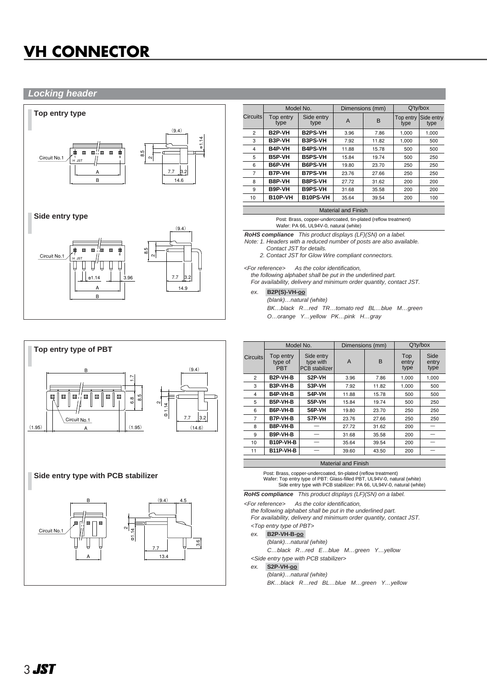# **VH CONNECTOR**

## **Locking header**





| 回<br>叵<br>$\mathbf{c}$ |                  |  |
|------------------------|------------------|--|
|                        | 늠<br>7.7<br>13.4 |  |

3.6

|                |                     | Model No.          |       | Dimensions (mm) | $Q'$ ty/box       |                    |
|----------------|---------------------|--------------------|-------|-----------------|-------------------|--------------------|
| Circuits       | Top entry<br>type   | Side entry<br>type | A     | B               | Top entry<br>type | Side entry<br>type |
| $\overline{2}$ | B <sub>2</sub> P-VH | <b>B2PS-VH</b>     | 3.96  | 7.86            | 1.000             | 1.000              |
| 3              | B3P-VH              | <b>B3PS-VH</b>     | 7.92  | 11.82           | 1.000             | 500                |
| 4              | B4P-VH              | <b>B4PS-VH</b>     | 11.88 | 15.78           | 500               | 500                |
| 5              | B5P-VH              | <b>B5PS-VH</b>     | 15.84 | 19.74           | 500               | 250                |
| 6              | B6P-VH              | <b>B6PS-VH</b>     | 19.80 | 23.70           | 250               | 250                |
| $\overline{7}$ | <b>B7P-VH</b>       | <b>B7PS-VH</b>     | 23.76 | 27.66           | 250               | 250                |
| 8              | B8P-VH              | <b>B8PS-VH</b>     | 27.72 | 31.62           | 200               | 200                |
| 9              | B9P-VH              | <b>B9PS-VH</b>     | 31.68 | 35.58           | 200               | 200                |
| 10             | B10P-VH             | <b>B10PS-VH</b>    | 35.64 | 39.54           | 200               | 100                |

#### Material and Finish

Post: Brass, copper-undercoated, tin-plated (reflow treatment) Wafer: PA 66, UL94V-0, natural (white)

**RoHS compliance** This product displays (LF)(SN) on a label.

Note: 1. Headers with a reduced number of posts are also available. Contact JST for details.

2. Contact JST for Glow Wire compliant connectors.

<For reference> As the color identification,

the following alphabet shall be put in the underlined part. For availability, delivery and minimum order quantity, contact JST.

### ex. **B2P(S)-VH-oo-**

(blank)…natural (white) BK…black R…red TR…tomato red BL…blue M…green O…orange Y…yellow PK…pink H…gray

|                 |                                    | Model No.                                        | Dimensions (mm) |       | $Q'$ ty/box          |                       |
|-----------------|------------------------------------|--------------------------------------------------|-----------------|-------|----------------------|-----------------------|
| <b>Circuits</b> | Top entry<br>type of<br><b>PRT</b> | Side entry<br>type with<br><b>PCB</b> stabilizer |                 | B     | Top<br>entry<br>type | Side<br>entry<br>type |
| $\overline{2}$  | B <sub>2</sub> P-VH-B              | S2P-VH                                           | 3.96            | 7.86  | 1.000                | 1,000                 |
| 3               | B3P-VH-B                           | S3P-VH                                           | 7.92            | 11.82 | 1,000                | 500                   |
| $\overline{4}$  | B4P-VH-B                           | S4P-VH                                           | 11.88           | 15.78 | 500                  | 500                   |
| 5               | B5P-VH-B                           | S5P-VH                                           | 15.84           | 19.74 | 500                  | 250                   |
| 6               | B6P-VH-B                           | S6P-VH                                           | 19.80           | 23.70 | 250                  | 250                   |
| 7               | B7P-VH-B                           | S7P-VH                                           | 23.76           | 27.66 | 250                  | 250                   |
| 8               | B8P-VH-B                           |                                                  | 27.72           | 31.62 | 200                  |                       |
| 9               | B9P-VH-B                           |                                                  | 31.68           | 35.58 | 200                  |                       |
| 10              | B10P-VH-B                          |                                                  | 35.64           | 39.54 | 200                  |                       |
| 11              | B11P-VH-B                          |                                                  | 39.60           | 43.50 | 200                  |                       |
|                 |                                    |                                                  |                 |       |                      |                       |

### Material and Finish

Post: Brass, copper-undercoated, tin-plated (reflow treatment) Wafer: Top entry type of PBT: Glass-filled PBT, UL94V-0, natural (white) Side entry type with PCB stabilizer: PA 66, UL94V-0, natural (white)

**RoHS compliance** This product displays (LF)(SN) on a label.

<For reference> As the color identification,

the following alphabet shall be put in the underlined part. For availability, delivery and minimum order quantity, contact JST.

- <Top entry type of PBT>
- ex. **B2P-VH-B-oo-**

(blank)…natural (white)

C…black R…red E…blue M…green Y…yellow

<Side entry type with PCB stabilizer>

ex. **S2P-VH-oo-**

(blank)…natural (white)

BK…black R…red BL…blue M…green Y…yellow

Circuit No.1